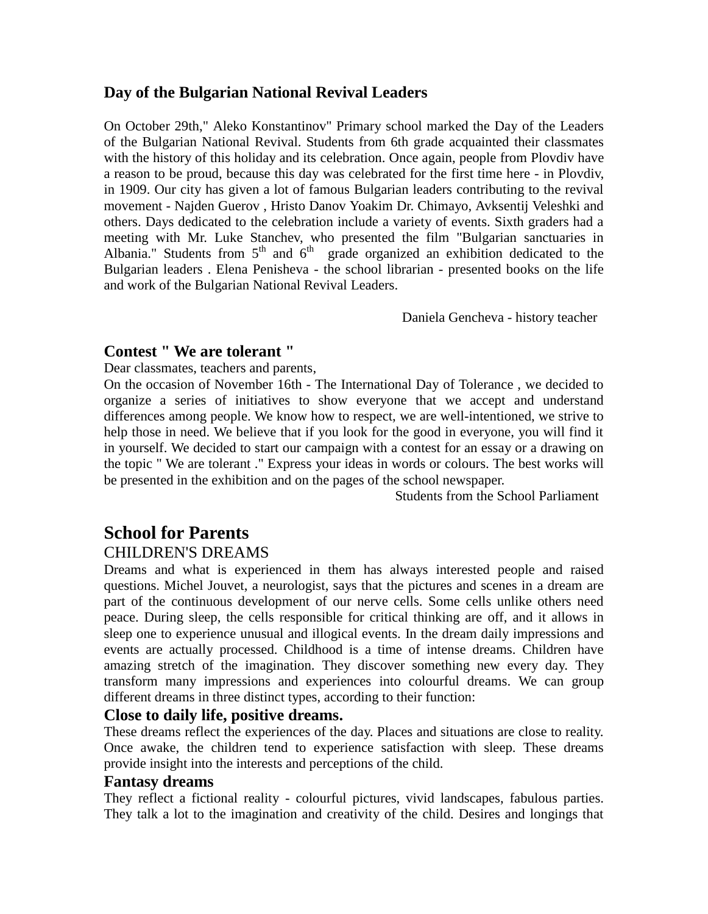# **Day of the Bulgarian National Revival Leaders**

On October 29th," Aleko Konstantinov" Primary school marked the Day of the Leaders of the Bulgarian National Revival. Students from 6th grade acquainted their classmates with the history of this holiday and its celebration. Once again, people from Plovdiv have a reason to be proud, because this day was celebrated for the first time here - in Plovdiv, in 1909. Our city has given a lot of famous Bulgarian leaders contributing to the revival movement - Najden Guerov , Hristo Danov Yoakim Dr. Chimayo, Avksentij Veleshki and others. Days dedicated to the celebration include a variety of events. Sixth graders had a meeting with Mr. Luke Stanchev, who presented the film "Bulgarian sanctuaries in Albania." Students from  $5<sup>th</sup>$  and  $6<sup>th</sup>$  grade organized an exhibition dedicated to the Bulgarian leaders . Elena Penisheva - the school librarian - presented books on the life and work of the Bulgarian National Revival Leaders.

Daniela Gencheva - history teacher

# **Contest " We are tolerant "**

Dear classmates, teachers and parents,

On the occasion of November 16th - The International Day of Tolerance , we decided to organize a series of initiatives to show everyone that we accept and understand differences among people. We know how to respect, we are well-intentioned, we strive to help those in need. We believe that if you look for the good in everyone, you will find it in yourself. We decided to start our campaign with a contest for an essay or a drawing on the topic " We are tolerant ." Express your ideas in words or colours. The best works will be presented in the exhibition and on the pages of the school newspaper.

Students from the School Parliament

# **School for Parents**

# CHILDREN'S DREAMS

Dreams and what is experienced in them has always interested people and raised questions. Michel Jouvet, a neurologist, says that the pictures and scenes in a dream are part of the continuous development of our nerve cells. Some cells unlike others need peace. During sleep, the cells responsible for critical thinking are off, and it allows in sleep one to experience unusual and illogical events. In the dream daily impressions and events are actually processed. Childhood is a time of intense dreams. Children have amazing stretch of the imagination. They discover something new every day. They transform many impressions and experiences into colourful dreams. We can group different dreams in three distinct types, according to their function:

#### **Close to daily life, positive dreams.**

These dreams reflect the experiences of the day. Places and situations are close to reality. Once awake, the children tend to experience satisfaction with sleep. These dreams provide insight into the interests and perceptions of the child.

#### **Fantasy dreams**

They reflect a fictional reality - colourful pictures, vivid landscapes, fabulous parties. They talk a lot to the imagination and creativity of the child. Desires and longings that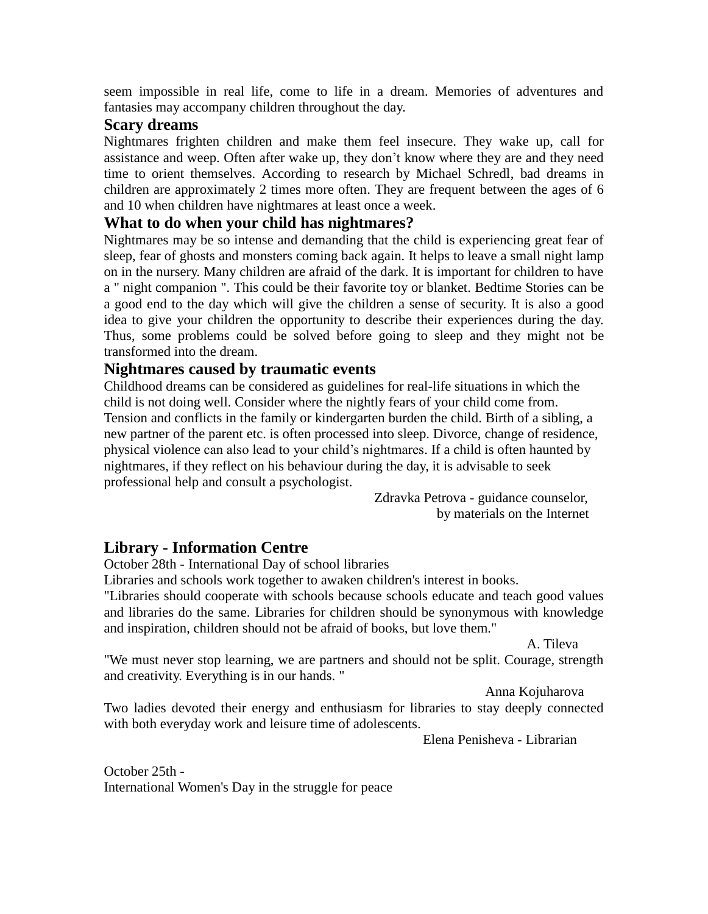seem impossible in real life, come to life in a dream. Memories of adventures and fantasies may accompany children throughout the day.

### **Scary dreams**

Nightmares frighten children and make them feel insecure. They wake up, call for assistance and weep. Often after wake up, they don't know where they are and they need time to orient themselves. According to research by Michael Schredl, bad dreams in children are approximately 2 times more often. They are frequent between the ages of 6 and 10 when children have nightmares at least once a week.

#### **What to do when your child has nightmares?**

Nightmares may be so intense and demanding that the child is experiencing great fear of sleep, fear of ghosts and monsters coming back again. It helps to leave a small night lamp on in the nursery. Many children are afraid of the dark. It is important for children to have a " night companion ". This could be their favorite toy or blanket. Bedtime Stories can be a good end to the day which will give the children a sense of security. It is also a good idea to give your children the opportunity to describe their experiences during the day. Thus, some problems could be solved before going to sleep and they might not be transformed into the dream.

# **Nightmares caused by traumatic events**

Childhood dreams can be considered as guidelines for real-life situations in which the child is not doing well. Consider where the nightly fears of your child come from. Tension and conflicts in the family or kindergarten burden the child. Birth of a sibling, a new partner of the parent etc. is often processed into sleep. Divorce, change of residence, physical violence can also lead to your child's nightmares. If a child is often haunted by nightmares, if they reflect on his behaviour during the day, it is advisable to seek professional help and consult a psychologist.

> Zdravka Petrova - guidance counselor, by materials on the Internet

# **Library - Information Centre**

October 28th - International Day of school libraries

Libraries and schools work together to awaken children's interest in books.

"Libraries should cooperate with schools because schools educate and teach good values and libraries do the same. Libraries for children should be synonymous with knowledge and inspiration, children should not be afraid of books, but love them."

A. Tileva

"We must never stop learning, we are partners and should not be split. Courage, strength and creativity. Everything is in our hands. "

Anna Kojuharova

Two ladies devoted their energy and enthusiasm for libraries to stay deeply connected with both everyday work and leisure time of adolescents.

Elena Penisheva - Librarian

October 25th - International Women's Day in the struggle for peace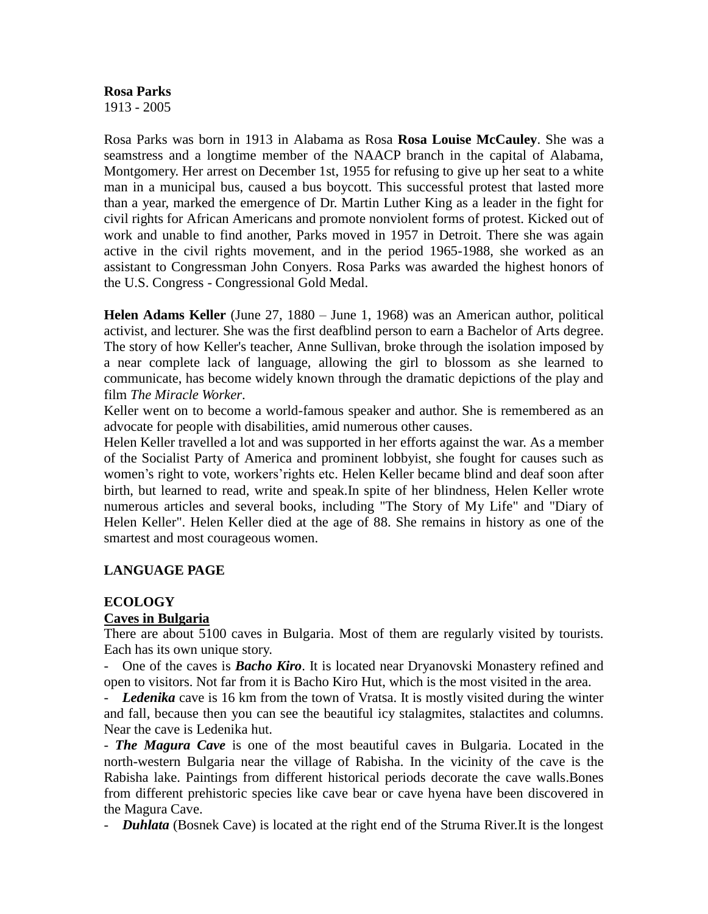#### **Rosa Parks** 1913 - 2005

Rosa Parks was born in 1913 in Alabama as Rosa **Rosa Louise McCauley**. She was a seamstress and a longtime member of the NAACP branch in the capital of Alabama, Montgomery. Her arrest on December 1st, 1955 for refusing to give up her seat to a white man in a municipal bus, caused a bus boycott. This successful protest that lasted more than a year, marked the emergence of Dr. Martin Luther King as a leader in the fight for civil rights for African Americans and promote nonviolent forms of protest. Kicked out of work and unable to find another, Parks moved in 1957 in Detroit. There she was again active in the civil rights movement, and in the period 1965-1988, she worked as an assistant to Congressman John Conyers. Rosa Parks was awarded the highest honors of the U.S. Congress - Congressional Gold Medal.

**Helen Adams Keller** (June 27, 1880 – June 1, 1968) was an American author, [political](http://en.wikipedia.org/wiki/Political_activist)  [activist,](http://en.wikipedia.org/wiki/Political_activist) and [lecturer.](http://en.wikipedia.org/wiki/Lecturer) She was the first [deafblind](http://en.wikipedia.org/wiki/Deafblindness) person to earn a Bachelor of Arts degree. The story of how Keller's teacher, [Anne Sullivan,](http://en.wikipedia.org/wiki/Anne_Sullivan) broke through the isolation imposed by a near complete lack of language, allowing the girl to blossom as she learned to communicate, has become widely known through the dramatic depictions of the play and film *[The Miracle Worker](http://en.wikipedia.org/wiki/The_Miracle_Worker)*.

Keller went on to become a world-famous speaker and author. She is remembered as an [advocate for people with disabilities,](http://en.wikipedia.org/wiki/List_of_disability_rights_activists) amid numerous other causes.

Helen Keller travelled a lot and was supported in her efforts against the war. As a member of the Socialist Party of America and prominent lobbyist, she fought for causes such as women's right to vote, workers'rights etc. Helen Keller became blind and deaf soon after birth, but learned to read, write and speak.In spite of her blindness, Helen Keller wrote numerous articles and several books, including "The Story of My Life" and "Diary of Helen Keller". Helen Keller died at the age of 88. She remains in history as one of the smartest and most courageous women.

#### **LANGUAGE PAGE**

# **ECOLOGY**

#### **Caves in Bulgaria**

There are about 5100 caves in Bulgaria. Most of them are regularly visited by tourists. Each has its own unique story.

- One of the caves is *Bacho Kiro*. It is located near Dryanovski Monastery refined and open to visitors. Not far from it is Bacho Kiro Hut, which is the most visited in the area.

- *Ledenika* cave is 16 km from the town of Vratsa. It is mostly visited during the winter and fall, because then you can see the beautiful icy stalagmites, stalactites and columns. Near the cave is Ledenika hut.

- *The Magura Cave* is one of the most beautiful caves in Bulgaria. Located in the north-western Bulgaria near the village of Rabisha. In the vicinity of the cave is the Rabisha lake. Paintings from different historical periods decorate the cave walls.Bones from different prehistoric species like [cave bear](http://en.wikipedia.org/wiki/Cave_bear) or [cave hyena](http://en.wikipedia.org/wiki/Cave_hyena) have been discovered in the Magura Cave.

- *Duhlata* (Bosnek Cave) is located at the right end of the Struma River.It is the longest